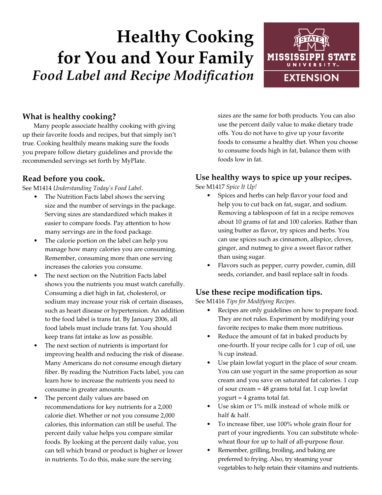# **Healthy Cooking for You and Your Family** *Food Label and Recipe Modification*



# **What is healthy cooking?**

Many people associate healthy cooking with giving up their favorite foods and recipes, but that simply isn't true. Cooking healthily means making sure the foods you prepare follow dietary guidelines and provide the recommended servings set forth by MyPlate.

#### **Read before you cook.**

See M1414 *Understanding Today's Food Label*.

- The Nutrition Facts label shows the serving size and the number of servings in the package. Serving sizes are standardized which makes it easier to compare foods. Pay attention to how many servings are in the food package.
- The calorie portion on the label can help you manage how many calories you are consuming. Remember, consuming more than one serving increases the calories you consume.
- The next section on the Nutrition Facts label shows you the nutrients you must watch carefully. Consuming a diet high in fat, cholesterol, or sodium may increase your risk of certain diseases, such as heart disease or hypertension. An addition to the food label is trans fat. By January 2006, all food labels must include trans fat. You should keep trans fat intake as low as possible.
- The next section of nutrients is important for improving health and reducing the risk of disease. Many Americans do not consume enough dietary fiber. By reading the Nutrition Facts label, you can learn how to increase the nutrients you need to consume in greater amounts.
- The percent daily values are based on recommendations for key nutrients for a 2,000 calorie diet. Whether or not you consume 2,000 calories, this information can still be useful. The percent daily value helps you compare similar foods. By looking at the percent daily value, you can tell which brand or product is higher or lower in nutrients. To do this, make sure the serving

sizes are the same for both products. You can also use the percent daily value to make dietary trade offs. You do not have to give up your favorite foods to consume a healthy diet. When you choose to consume foods high in fat, balance them with foods low in fat.

### **Use healthy ways to spice up your recipes.**

See M1417 *Spice It Up!*

- Spices and herbs can help flavor your food and help you to cut back on fat, sugar, and sodium. Removing a tablespoon of fat in a recipe removes about 10 grams of fat and 100 calories. Rather than using butter as flavor, try spices and herbs. You can use spices such as cinnamon, allspice, cloves, ginger, and nutmeg to give a sweet flavor rather than using sugar.
- Flavors such as pepper, curry powder, cumin, dill seeds, coriander, and basil replace salt in foods.

## **Use these recipe modification tips.**

See M1416 *Tips for Modifying Recipes*.

- Recipes are only guidelines on how to prepare food. They are not rules. Experiment by modifying your favorite recipes to make them more nutritious.
- Reduce the amount of fat in baked products by one-fourth. If your recipe calls for 1 cup of oil, use 3/4 cup instead.
- Use plain lowfat yogurt in the place of sour cream. You can use yogurt in the same proportion as sour cream and you save on saturated fat calories. 1 cup of sour cream = 48 grams total fat. 1 cup lowfat yogurt = 4 grams total fat.
- Use skim or 1% milk instead of whole milk or half & half.
- To increase fiber, use 100% whole grain flour for part of your ingredients. You can substitute wholewheat flour for up to half of all-purpose flour.
- Remember, grilling, broiling, and baking are preferred to frying. Also, try steaming your vegetables to help retain their vitamins and nutrients.